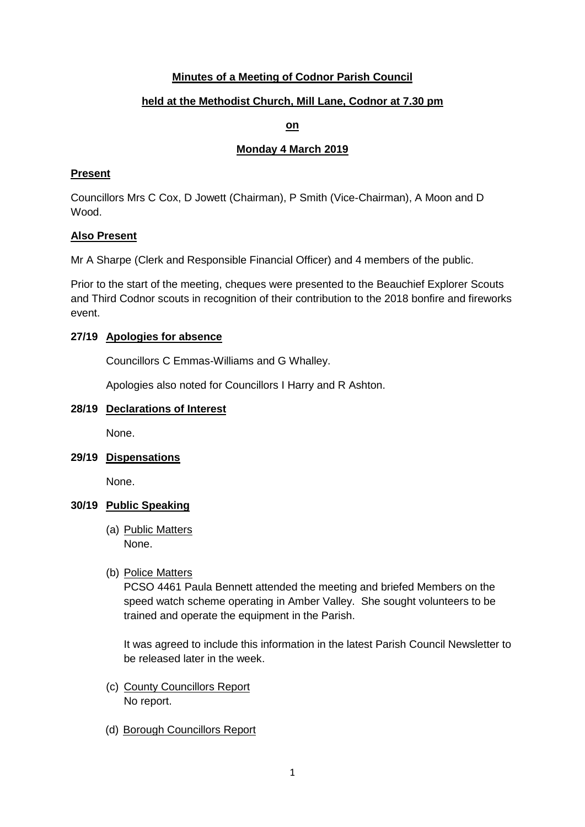# **Minutes of a Meeting of Codnor Parish Council**

# **held at the Methodist Church, Mill Lane, Codnor at 7.30 pm**

# **on**

# **Monday 4 March 2019**

# **Present**

Councillors Mrs C Cox, D Jowett (Chairman), P Smith (Vice-Chairman), A Moon and D Wood.

# **Also Present**

Mr A Sharpe (Clerk and Responsible Financial Officer) and 4 members of the public.

Prior to the start of the meeting, cheques were presented to the Beauchief Explorer Scouts and Third Codnor scouts in recognition of their contribution to the 2018 bonfire and fireworks event.

# **27/19 Apologies for absence**

Councillors C Emmas-Williams and G Whalley.

Apologies also noted for Councillors I Harry and R Ashton.

#### **28/19 Declarations of Interest**

None.

**29/19 Dispensations**

None.

#### **30/19 Public Speaking**

(a) Public Matters None.

#### (b) Police Matters

PCSO 4461 Paula Bennett attended the meeting and briefed Members on the speed watch scheme operating in Amber Valley. She sought volunteers to be trained and operate the equipment in the Parish.

It was agreed to include this information in the latest Parish Council Newsletter to be released later in the week.

- (c) County Councillors Report No report.
- (d) Borough Councillors Report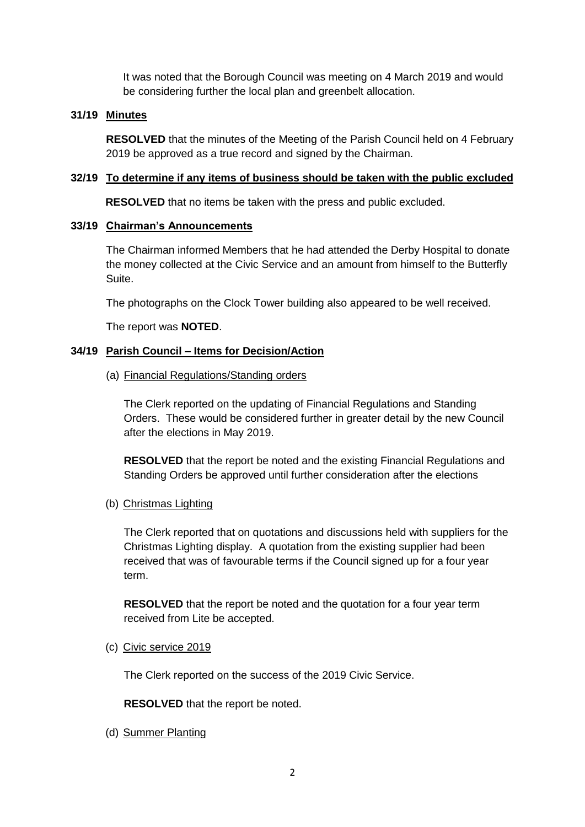It was noted that the Borough Council was meeting on 4 March 2019 and would be considering further the local plan and greenbelt allocation.

#### **31/19 Minutes**

**RESOLVED** that the minutes of the Meeting of the Parish Council held on 4 February 2019 be approved as a true record and signed by the Chairman.

### **32/19 To determine if any items of business should be taken with the public excluded**

**RESOLVED** that no items be taken with the press and public excluded.

#### **33/19 Chairman's Announcements**

The Chairman informed Members that he had attended the Derby Hospital to donate the money collected at the Civic Service and an amount from himself to the Butterfly Suite.

The photographs on the Clock Tower building also appeared to be well received.

The report was **NOTED**.

# **34/19 Parish Council – Items for Decision/Action**

(a) Financial Regulations/Standing orders

The Clerk reported on the updating of Financial Regulations and Standing Orders. These would be considered further in greater detail by the new Council after the elections in May 2019.

**RESOLVED** that the report be noted and the existing Financial Regulations and Standing Orders be approved until further consideration after the elections

(b) Christmas Lighting

The Clerk reported that on quotations and discussions held with suppliers for the Christmas Lighting display. A quotation from the existing supplier had been received that was of favourable terms if the Council signed up for a four year term.

**RESOLVED** that the report be noted and the quotation for a four year term received from Lite be accepted.

(c) Civic service 2019

The Clerk reported on the success of the 2019 Civic Service.

**RESOLVED** that the report be noted.

(d) Summer Planting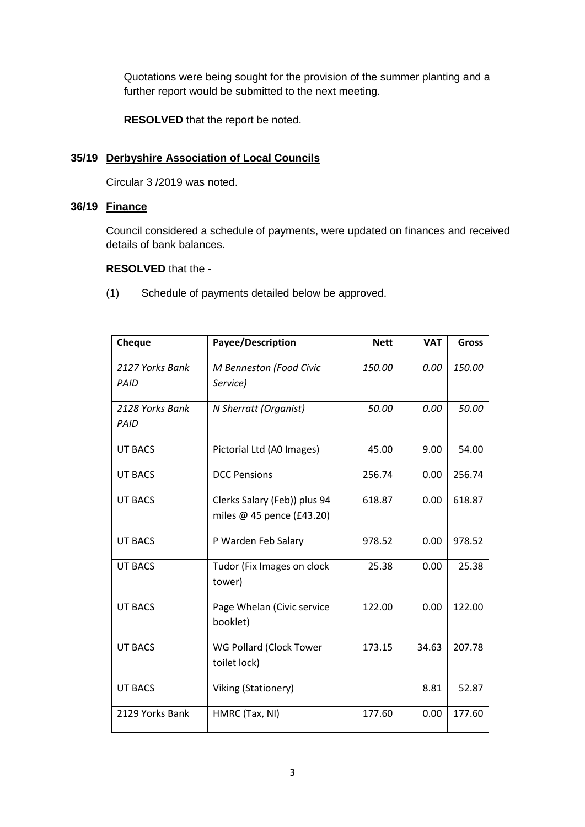Quotations were being sought for the provision of the summer planting and a further report would be submitted to the next meeting.

**RESOLVED** that the report be noted.

# **35/19 Derbyshire Association of Local Councils**

Circular 3 /2019 was noted.

# **36/19 Finance**

Council considered a schedule of payments, were updated on finances and received details of bank balances.

#### **RESOLVED** that the -

(1) Schedule of payments detailed below be approved.

| Cheque                         | Payee/Description                                         | <b>Nett</b> | <b>VAT</b> | <b>Gross</b> |
|--------------------------------|-----------------------------------------------------------|-------------|------------|--------------|
| 2127 Yorks Bank<br>PAID        | M Benneston (Food Civic<br>Service)                       | 150.00      | 0.00       | 150.00       |
| 2128 Yorks Bank<br><b>PAID</b> | N Sherratt (Organist)                                     | 50.00       | 0.00       | 50.00        |
| <b>UT BACS</b>                 | Pictorial Ltd (A0 Images)                                 | 45.00       | 9.00       | 54.00        |
| <b>UT BACS</b>                 | <b>DCC Pensions</b>                                       | 256.74      | 0.00       | 256.74       |
| <b>UT BACS</b>                 | Clerks Salary (Feb)) plus 94<br>miles @ 45 pence (£43.20) | 618.87      | 0.00       | 618.87       |
| <b>UT BACS</b>                 | P Warden Feb Salary                                       | 978.52      | 0.00       | 978.52       |
| UT BACS                        | Tudor (Fix Images on clock<br>tower)                      | 25.38       | 0.00       | 25.38        |
| <b>UT BACS</b>                 | Page Whelan (Civic service<br>booklet)                    | 122.00      | 0.00       | 122.00       |
| <b>UT BACS</b>                 | WG Pollard (Clock Tower<br>toilet lock)                   | 173.15      | 34.63      | 207.78       |
| <b>UT BACS</b>                 | Viking (Stationery)                                       |             | 8.81       | 52.87        |
| 2129 Yorks Bank                | HMRC (Tax, NI)                                            | 177.60      | 0.00       | 177.60       |